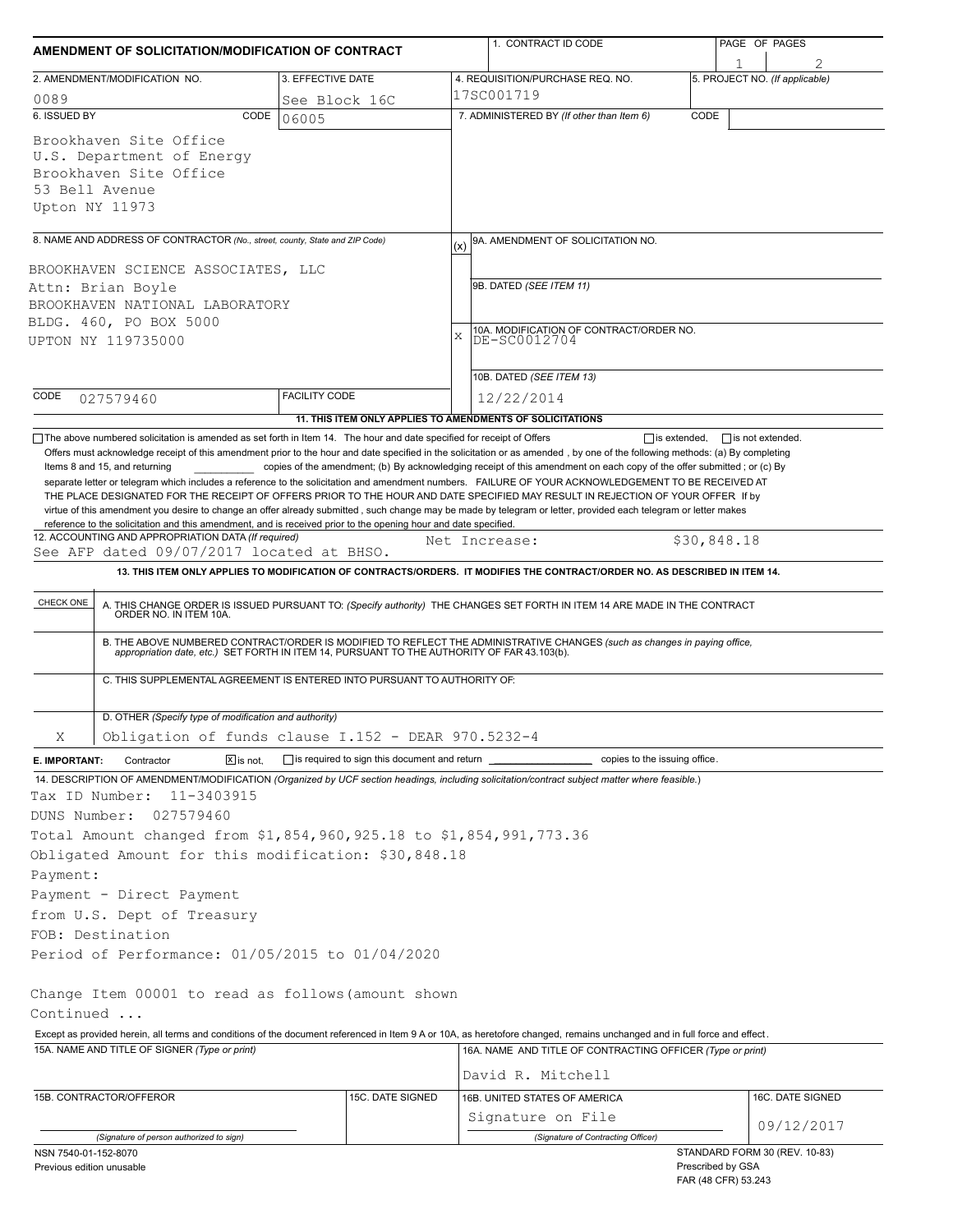| AMENDMENT OF SOLICITATION/MODIFICATION OF CONTRACT                                                                                                                                                                                                                                                                                                                                                                                                                                                                                                                                                                                  |                      |                  | 1. CONTRACT ID CODE                                                                                                                                                                                                                                                                                                                                                          |                   | PAGE OF PAGES                  |  |  |
|-------------------------------------------------------------------------------------------------------------------------------------------------------------------------------------------------------------------------------------------------------------------------------------------------------------------------------------------------------------------------------------------------------------------------------------------------------------------------------------------------------------------------------------------------------------------------------------------------------------------------------------|----------------------|------------------|------------------------------------------------------------------------------------------------------------------------------------------------------------------------------------------------------------------------------------------------------------------------------------------------------------------------------------------------------------------------------|-------------------|--------------------------------|--|--|
| 2. AMENDMENT/MODIFICATION NO.<br>3. EFFECTIVE DATE                                                                                                                                                                                                                                                                                                                                                                                                                                                                                                                                                                                  |                      |                  | 4. REQUISITION/PURCHASE REQ. NO.                                                                                                                                                                                                                                                                                                                                             |                   | 5. PROJECT NO. (If applicable) |  |  |
| 0089                                                                                                                                                                                                                                                                                                                                                                                                                                                                                                                                                                                                                                | See Block 16C        |                  | 17SC001719                                                                                                                                                                                                                                                                                                                                                                   |                   |                                |  |  |
| 6. ISSUED BY                                                                                                                                                                                                                                                                                                                                                                                                                                                                                                                                                                                                                        | CODE<br>06005        |                  | 7. ADMINISTERED BY (If other than Item 6)                                                                                                                                                                                                                                                                                                                                    | CODE              |                                |  |  |
| Brookhaven Site Office<br>U.S. Department of Energy<br>Brookhaven Site Office<br>53 Bell Avenue<br>Upton NY 11973                                                                                                                                                                                                                                                                                                                                                                                                                                                                                                                   |                      |                  |                                                                                                                                                                                                                                                                                                                                                                              |                   |                                |  |  |
| 8. NAME AND ADDRESS OF CONTRACTOR (No., street, county, State and ZIP Code)                                                                                                                                                                                                                                                                                                                                                                                                                                                                                                                                                         |                      | (x)              | 9A. AMENDMENT OF SOLICITATION NO.                                                                                                                                                                                                                                                                                                                                            |                   |                                |  |  |
| BROOKHAVEN SCIENCE ASSOCIATES, LLC<br>Attn: Brian Boyle<br>BROOKHAVEN NATIONAL LABORATORY<br>BLDG. 460, PO BOX 5000<br>UPTON NY 119735000                                                                                                                                                                                                                                                                                                                                                                                                                                                                                           |                      | X                | 9B. DATED (SEE ITEM 11)<br>10A. MODIFICATION OF CONTRACT/ORDER NO.<br>DE-SC0012704<br>10B. DATED (SEE ITEM 13)                                                                                                                                                                                                                                                               |                   |                                |  |  |
| CODE<br>027579460                                                                                                                                                                                                                                                                                                                                                                                                                                                                                                                                                                                                                   | <b>FACILITY CODE</b> |                  | 12/22/2014                                                                                                                                                                                                                                                                                                                                                                   |                   |                                |  |  |
|                                                                                                                                                                                                                                                                                                                                                                                                                                                                                                                                                                                                                                     |                      |                  | 11. THIS ITEM ONLY APPLIES TO AMENDMENTS OF SOLICITATIONS                                                                                                                                                                                                                                                                                                                    |                   |                                |  |  |
| separate letter or telegram which includes a reference to the solicitation and amendment numbers. FAILURE OF YOUR ACKNOWLEDGEMENT TO BE RECEIVED AT<br>THE PLACE DESIGNATED FOR THE RECEIPT OF OFFERS PRIOR TO THE HOUR AND DATE SPECIFIED MAY RESULT IN REJECTION OF YOUR OFFER If by<br>virtue of this amendment you desire to change an offer already submitted, such change may be made by telegram or letter, provided each telegram or letter makes<br>reference to the solicitation and this amendment, and is received prior to the opening hour and date specified.<br>12. ACCOUNTING AND APPROPRIATION DATA (If required) |                      |                  | Net Increase:                                                                                                                                                                                                                                                                                                                                                                | \$30,848.18       |                                |  |  |
| See AFP dated 09/07/2017 located at BHSO.                                                                                                                                                                                                                                                                                                                                                                                                                                                                                                                                                                                           |                      |                  |                                                                                                                                                                                                                                                                                                                                                                              |                   |                                |  |  |
|                                                                                                                                                                                                                                                                                                                                                                                                                                                                                                                                                                                                                                     |                      |                  | 13. THIS ITEM ONLY APPLIES TO MODIFICATION OF CONTRACTS/ORDERS. IT MODIFIES THE CONTRACT/ORDER NO. AS DESCRIBED IN ITEM 14.                                                                                                                                                                                                                                                  |                   |                                |  |  |
| CHECK ONE<br>C. THIS SUPPLEMENTAL AGREEMENT IS ENTERED INTO PURSUANT TO AUTHORITY OF:                                                                                                                                                                                                                                                                                                                                                                                                                                                                                                                                               |                      |                  | A. THIS CHANGE ORDER IS ISSUED PURSUANT TO: (Specify authority) THE CHANGES SET FORTH IN ITEM 14 ARE MADE IN THE CONTRACT ORDER NO. IN ITEM 10A.<br>B. THE ABOVE NUMBERED CONTRACT/ORDER IS MODIFIED TO REFLECT THE ADMINISTRATIVE CHANGES (such as changes in paying office,<br>appropriation date, etc.) SET FORTH IN ITEM 14, PURSUANT TO THE AUTHORITY OF FAR 43.103(b). |                   |                                |  |  |
| D. OTHER (Specify type of modification and authority)                                                                                                                                                                                                                                                                                                                                                                                                                                                                                                                                                                               |                      |                  |                                                                                                                                                                                                                                                                                                                                                                              |                   |                                |  |  |
| Obligation of funds clause I.152 - DEAR 970.5232-4<br>Χ                                                                                                                                                                                                                                                                                                                                                                                                                                                                                                                                                                             |                      |                  |                                                                                                                                                                                                                                                                                                                                                                              |                   |                                |  |  |
| $X$ is not.<br>E. IMPORTANT:<br>Contractor                                                                                                                                                                                                                                                                                                                                                                                                                                                                                                                                                                                          |                      |                  |                                                                                                                                                                                                                                                                                                                                                                              |                   |                                |  |  |
| 14. DESCRIPTION OF AMENDMENT/MODIFICATION (Organized by UCF section headings, including solicitation/contract subject matter where feasible.)<br>Tax ID Number:<br>11-3403915<br>027579460<br>DUNS Number:<br>Total Amount changed from \$1,854,960,925.18 to \$1,854,991,773.36                                                                                                                                                                                                                                                                                                                                                    |                      |                  |                                                                                                                                                                                                                                                                                                                                                                              |                   |                                |  |  |
| Obligated Amount for this modification: \$30,848.18                                                                                                                                                                                                                                                                                                                                                                                                                                                                                                                                                                                 |                      |                  |                                                                                                                                                                                                                                                                                                                                                                              |                   |                                |  |  |
| Payment:                                                                                                                                                                                                                                                                                                                                                                                                                                                                                                                                                                                                                            |                      |                  |                                                                                                                                                                                                                                                                                                                                                                              |                   |                                |  |  |
| Payment - Direct Payment                                                                                                                                                                                                                                                                                                                                                                                                                                                                                                                                                                                                            |                      |                  |                                                                                                                                                                                                                                                                                                                                                                              |                   |                                |  |  |
| from U.S. Dept of Treasury                                                                                                                                                                                                                                                                                                                                                                                                                                                                                                                                                                                                          |                      |                  |                                                                                                                                                                                                                                                                                                                                                                              |                   |                                |  |  |
| FOB: Destination                                                                                                                                                                                                                                                                                                                                                                                                                                                                                                                                                                                                                    |                      |                  |                                                                                                                                                                                                                                                                                                                                                                              |                   |                                |  |  |
| Period of Performance: 01/05/2015 to 01/04/2020                                                                                                                                                                                                                                                                                                                                                                                                                                                                                                                                                                                     |                      |                  |                                                                                                                                                                                                                                                                                                                                                                              |                   |                                |  |  |
| Change Item 00001 to read as follows (amount shown<br>Continued                                                                                                                                                                                                                                                                                                                                                                                                                                                                                                                                                                     |                      |                  |                                                                                                                                                                                                                                                                                                                                                                              |                   |                                |  |  |
| Except as provided herein, all terms and conditions of the document referenced in Item 9 A or 10A, as heretofore changed, remains unchanged and in full force and effect.<br>15A. NAME AND TITLE OF SIGNER (Type or print)                                                                                                                                                                                                                                                                                                                                                                                                          |                      |                  | 16A. NAME AND TITLE OF CONTRACTING OFFICER (Type or print)                                                                                                                                                                                                                                                                                                                   |                   |                                |  |  |
|                                                                                                                                                                                                                                                                                                                                                                                                                                                                                                                                                                                                                                     |                      |                  | David R. Mitchell                                                                                                                                                                                                                                                                                                                                                            |                   |                                |  |  |
| 15B. CONTRACTOR/OFFEROR                                                                                                                                                                                                                                                                                                                                                                                                                                                                                                                                                                                                             |                      | 15C. DATE SIGNED | 16B. UNITED STATES OF AMERICA                                                                                                                                                                                                                                                                                                                                                |                   | 16C. DATE SIGNED               |  |  |
|                                                                                                                                                                                                                                                                                                                                                                                                                                                                                                                                                                                                                                     |                      |                  | Signature on File                                                                                                                                                                                                                                                                                                                                                            |                   |                                |  |  |
| (Signature of person authorized to sign)                                                                                                                                                                                                                                                                                                                                                                                                                                                                                                                                                                                            |                      |                  | (Signature of Contracting Officer)                                                                                                                                                                                                                                                                                                                                           |                   | 09/12/2017                     |  |  |
| NSN 7540-01-152-8070                                                                                                                                                                                                                                                                                                                                                                                                                                                                                                                                                                                                                |                      |                  |                                                                                                                                                                                                                                                                                                                                                                              |                   | STANDARD FORM 30 (REV. 10-83)  |  |  |
| Previous edition unusable                                                                                                                                                                                                                                                                                                                                                                                                                                                                                                                                                                                                           |                      |                  |                                                                                                                                                                                                                                                                                                                                                                              | Prescribed by GSA |                                |  |  |